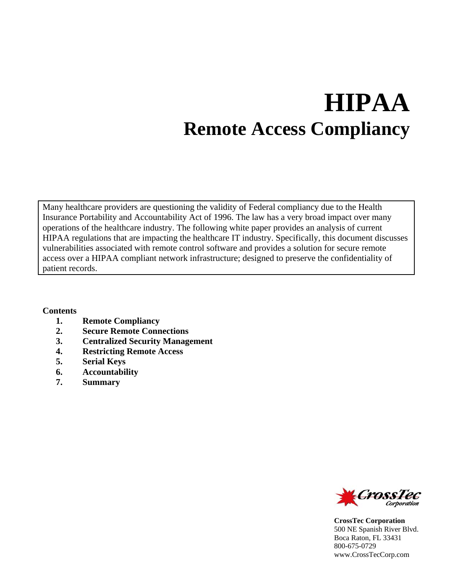# **HIPAA Remote Access Compliancy**

Many healthcare providers are questioning the validity of Federal compliancy due to the Health Insurance Portability and Accountability Act of 1996. The law has a very broad impact over many operations of the healthcare industry. The following white paper provides an analysis of current HIPAA regulations that are impacting the healthcare IT industry. Specifically, this document discusses vulnerabilities associated with remote control software and provides a solution for secure remote access over a HIPAA compliant network infrastructure; designed to preserve the confidentiality of patient records.

#### **Contents**

- **1. Remote Compliancy**
- **2. Secure Remote Connections**
- **3. Centralized Security Management**
- **4. Restricting Remote Access**
- **5. Serial Keys**
- **6. Accountability**
- **7. Summary**



**CrossTec Corporation**  500 NE Spanish River Blvd. Boca Raton, FL 33431 800-675-0729 www.CrossTecCorp.com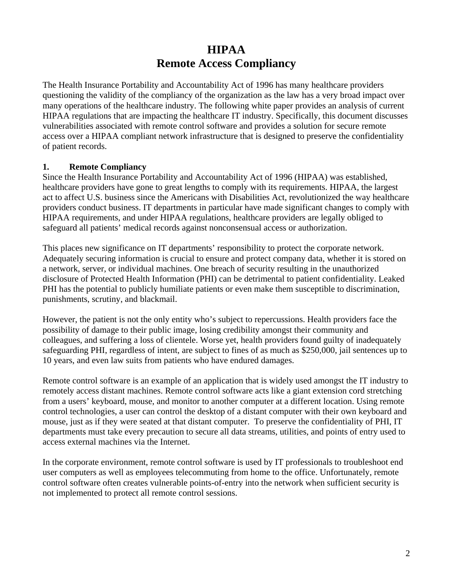## **HIPAA Remote Access Compliancy**

The Health Insurance Portability and Accountability Act of 1996 has many healthcare providers questioning the validity of the compliancy of the organization as the law has a very broad impact over many operations of the healthcare industry. The following white paper provides an analysis of current HIPAA regulations that are impacting the healthcare IT industry. Specifically, this document discusses vulnerabilities associated with remote control software and provides a solution for secure remote access over a HIPAA compliant network infrastructure that is designed to preserve the confidentiality of patient records.

#### **1. Remote Compliancy**

Since the Health Insurance Portability and Accountability Act of 1996 (HIPAA) was established, healthcare providers have gone to great lengths to comply with its requirements. HIPAA, the largest act to affect U.S. business since the Americans with Disabilities Act, revolutionized the way healthcare providers conduct business. IT departments in particular have made significant changes to comply with HIPAA requirements, and under HIPAA regulations, healthcare providers are legally obliged to safeguard all patients' medical records against nonconsensual access or authorization.

This places new significance on IT departments' responsibility to protect the corporate network. Adequately securing information is crucial to ensure and protect company data, whether it is stored on a network, server, or individual machines. One breach of security resulting in the unauthorized disclosure of Protected Health Information (PHI) can be detrimental to patient confidentiality. Leaked PHI has the potential to publicly humiliate patients or even make them susceptible to discrimination, punishments, scrutiny, and blackmail.

However, the patient is not the only entity who's subject to repercussions. Health providers face the possibility of damage to their public image, losing credibility amongst their community and colleagues, and suffering a loss of clientele. Worse yet, health providers found guilty of inadequately safeguarding PHI, regardless of intent, are subject to fines of as much as \$250,000, jail sentences up to 10 years, and even law suits from patients who have endured damages.

Remote control software is an example of an application that is widely used amongst the IT industry to remotely access distant machines. Remote control software acts like a giant extension cord stretching from a users' keyboard, mouse, and monitor to another computer at a different location. Using remote control technologies, a user can control the desktop of a distant computer with their own keyboard and mouse, just as if they were seated at that distant computer. To preserve the confidentiality of PHI, IT departments must take every precaution to secure all data streams, utilities, and points of entry used to access external machines via the Internet.

In the corporate environment, remote control software is used by IT professionals to troubleshoot end user computers as well as employees telecommuting from home to the office. Unfortunately, remote control software often creates vulnerable points-of-entry into the network when sufficient security is not implemented to protect all remote control sessions.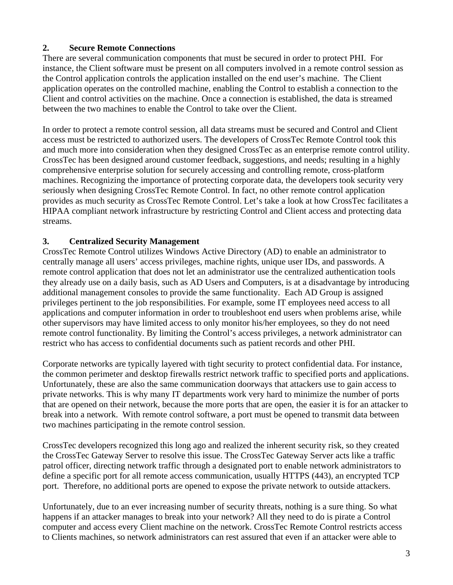#### **2. Secure Remote Connections**

There are several communication components that must be secured in order to protect PHI. For instance, the Client software must be present on all computers involved in a remote control session as the Control application controls the application installed on the end user's machine. The Client application operates on the controlled machine, enabling the Control to establish a connection to the Client and control activities on the machine. Once a connection is established, the data is streamed between the two machines to enable the Control to take over the Client.

In order to protect a remote control session, all data streams must be secured and Control and Client access must be restricted to authorized users. The developers of CrossTec Remote Control took this and much more into consideration when they designed CrossTec as an enterprise remote control utility. CrossTec has been designed around customer feedback, suggestions, and needs; resulting in a highly comprehensive enterprise solution for securely accessing and controlling remote, cross-platform machines. Recognizing the importance of protecting corporate data, the developers took security very seriously when designing CrossTec Remote Control. In fact, no other remote control application provides as much security as CrossTec Remote Control. Let's take a look at how CrossTec facilitates a HIPAA compliant network infrastructure by restricting Control and Client access and protecting data streams.

#### **3. Centralized Security Management**

CrossTec Remote Control utilizes Windows Active Directory (AD) to enable an administrator to centrally manage all users' access privileges, machine rights, unique user IDs, and passwords. A remote control application that does not let an administrator use the centralized authentication tools they already use on a daily basis, such as AD Users and Computers, is at a disadvantage by introducing additional management consoles to provide the same functionality. Each AD Group is assigned privileges pertinent to the job responsibilities. For example, some IT employees need access to all applications and computer information in order to troubleshoot end users when problems arise, while other supervisors may have limited access to only monitor his/her employees, so they do not need remote control functionality. By limiting the Control's access privileges, a network administrator can restrict who has access to confidential documents such as patient records and other PHI.

Corporate networks are typically layered with tight security to protect confidential data. For instance, the common perimeter and desktop firewalls restrict network traffic to specified ports and applications. Unfortunately, these are also the same communication doorways that attackers use to gain access to private networks. This is why many IT departments work very hard to minimize the number of ports that are opened on their network, because the more ports that are open, the easier it is for an attacker to break into a network. With remote control software, a port must be opened to transmit data between two machines participating in the remote control session.

CrossTec developers recognized this long ago and realized the inherent security risk, so they created the CrossTec Gateway Server to resolve this issue. The CrossTec Gateway Server acts like a traffic patrol officer, directing network traffic through a designated port to enable network administrators to define a specific port for all remote access communication, usually HTTPS (443), an encrypted TCP port. Therefore, no additional ports are opened to expose the private network to outside attackers.

Unfortunately, due to an ever increasing number of security threats, nothing is a sure thing. So what happens if an attacker manages to break into your network? All they need to do is pirate a Control computer and access every Client machine on the network. CrossTec Remote Control restricts access to Clients machines, so network administrators can rest assured that even if an attacker were able to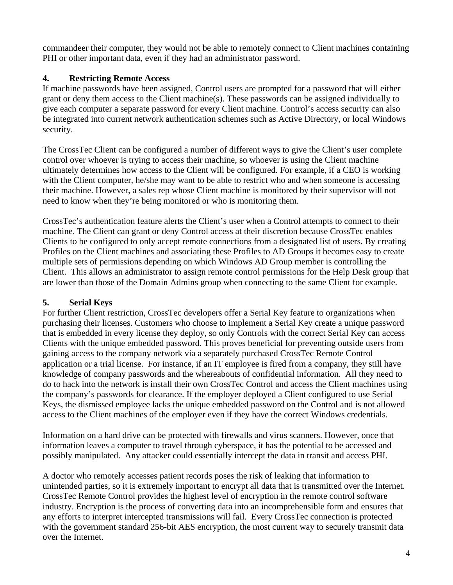commandeer their computer, they would not be able to remotely connect to Client machines containing PHI or other important data, even if they had an administrator password.

#### **4. Restricting Remote Access**

If machine passwords have been assigned, Control users are prompted for a password that will either grant or deny them access to the Client machine(s). These passwords can be assigned individually to give each computer a separate password for every Client machine. Control's access security can also be integrated into current network authentication schemes such as Active Directory, or local Windows security.

The CrossTec Client can be configured a number of different ways to give the Client's user complete control over whoever is trying to access their machine, so whoever is using the Client machine ultimately determines how access to the Client will be configured. For example, if a CEO is working with the Client computer, he/she may want to be able to restrict who and when someone is accessing their machine. However, a sales rep whose Client machine is monitored by their supervisor will not need to know when they're being monitored or who is monitoring them.

CrossTec's authentication feature alerts the Client's user when a Control attempts to connect to their machine. The Client can grant or deny Control access at their discretion because CrossTec enables Clients to be configured to only accept remote connections from a designated list of users. By creating Profiles on the Client machines and associating these Profiles to AD Groups it becomes easy to create multiple sets of permissions depending on which Windows AD Group member is controlling the Client. This allows an administrator to assign remote control permissions for the Help Desk group that are lower than those of the Domain Admins group when connecting to the same Client for example.

### **5. Serial Keys**

For further Client restriction, CrossTec developers offer a Serial Key feature to organizations when purchasing their licenses. Customers who choose to implement a Serial Key create a unique password that is embedded in every license they deploy, so only Controls with the correct Serial Key can access Clients with the unique embedded password. This proves beneficial for preventing outside users from gaining access to the company network via a separately purchased CrossTec Remote Control application or a trial license. For instance, if an IT employee is fired from a company, they still have knowledge of company passwords and the whereabouts of confidential information. All they need to do to hack into the network is install their own CrossTec Control and access the Client machines using the company's passwords for clearance. If the employer deployed a Client configured to use Serial Keys, the dismissed employee lacks the unique embedded password on the Control and is not allowed access to the Client machines of the employer even if they have the correct Windows credentials.

Information on a hard drive can be protected with firewalls and virus scanners. However, once that information leaves a computer to travel through cyberspace, it has the potential to be accessed and possibly manipulated. Any attacker could essentially intercept the data in transit and access PHI.

A doctor who remotely accesses patient records poses the risk of leaking that information to unintended parties, so it is extremely important to encrypt all data that is transmitted over the Internet. CrossTec Remote Control provides the highest level of encryption in the remote control software industry. Encryption is the process of converting data into an incomprehensible form and ensures that any efforts to interpret intercepted transmissions will fail. Every CrossTec connection is protected with the government standard 256-bit AES encryption, the most current way to securely transmit data over the Internet.